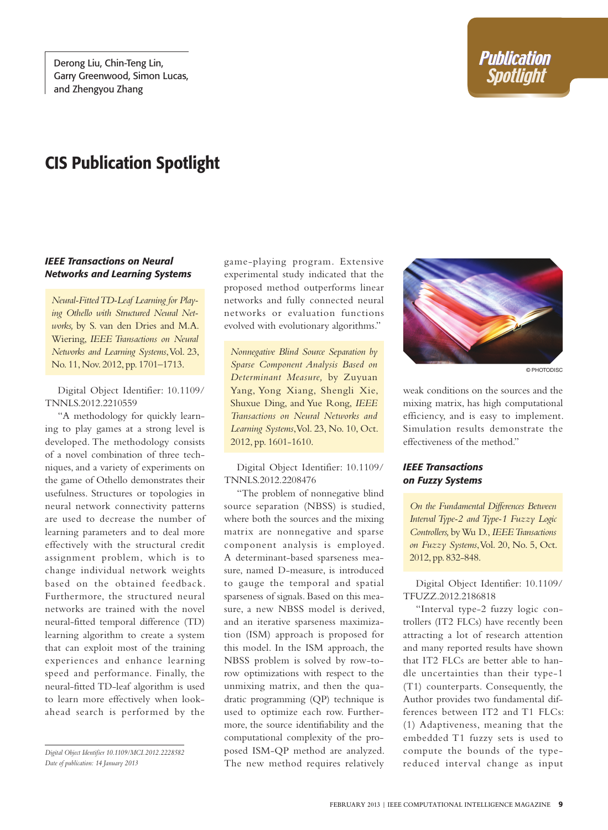# CIS Publication Spotlight

#### *IEEE Transactions on Neural Networks and Learning Systems*

*Neural-Fitted TD-Leaf Learning for Playing Othello with Structured Neural Networks,* by S. van den Dries and M.A. Wiering, *IEEE Transactions on Neural Networks and Learning Systems*, Vol. 23, No. 11, Nov. 2012, pp. 1701–1713.

Digital Object Identifier: 10.1109/ TNNLS.2012.2210559

"A methodology for quickly learning to play games at a strong level is developed. The methodology consists of a novel combination of three techniques, and a variety of experiments on the game of Othello demonstrates their usefulness. Structures or topologies in neural network connectivity patterns are used to decrease the number of learning parameters and to deal more effectively with the structural credit assignment problem, which is to change individual network weights based on the obtained feedback. Furthermore, the structured neural networks are trained with the novel neural-fitted temporal difference (TD) learning algorithm to create a system that can exploit most of the training experiences and enhance learning speed and performance. Finally, the neural-fitted TD-leaf algorithm is used to learn more effectively when lookahead search is performed by the

*Digital Object Identifier 10.1109/MCI.2012.2228582 Date of publication: 14 January 2013*

game-playing program. Extensive experimental study indicated that the proposed method outperforms linear networks and fully connected neural networks or evaluation functions evolved with evolutionary algorithms."

*Nonnegative Blind Source Separation by Sparse Component Analysis Based on Determinant Measure,* by Zuyuan Yang, Yong Xiang, Shengli Xie, Shuxue Ding, and Yue Rong, *IEEE Transactions on Neural Networks and Learning Systems*, Vol. 23, No. 10, Oct. 2012, pp. 1601-1610.

Digital Object Identifier: 10.1109/ TNNLS.2012.2208476

"The problem of nonnegative blind source separation (NBSS) is studied, where both the sources and the mixing matrix are nonnegative and sparse component analysis is employed. A determinant-based sparseness measure, named D-measure, is introduced to gauge the temporal and spatial sparseness of signals. Based on this measure, a new NBSS model is derived, and an iterative sparseness maximization (ISM) approach is proposed for this model. In the ISM approach, the NBSS problem is solved by row-torow optimizations with respect to the unmixing matrix, and then the quadratic programming (QP) technique is used to optimize each row. Furthermore, the source identifiability and the computational complexity of the proposed ISM-QP method are analyzed. The new method requires relatively



© photodisc

weak conditions on the sources and the mixing matrix, has high computational efficiency, and is easy to implement. Simulation results demonstrate the effectiveness of the method."

#### *IEEE Transactions on Fuzzy Systems*

*On the Fundamental Differences Between Interval Type-2 and Type-1 Fuzzy Logic Controllers,* by Wu D., *IEEE Transactions on Fuzzy Systems*, Vol. 20, No. 5, Oct. 2012, pp. 832-848.

Digital Object Identifier: 10.1109/ TFUZZ.2012.2186818

"Interval type-2 fuzzy logic controllers (IT2 FLCs) have recently been attracting a lot of research attention and many reported results have shown that IT2 FLCs are better able to handle uncertainties than their type-1 (T1) counterparts. Consequently, the Author provides two fundamental differences between IT2 and T1 FLCs: (1) Adaptiveness, meaning that the embedded T1 fuzzy sets is used to compute the bounds of the typereduced interval change as input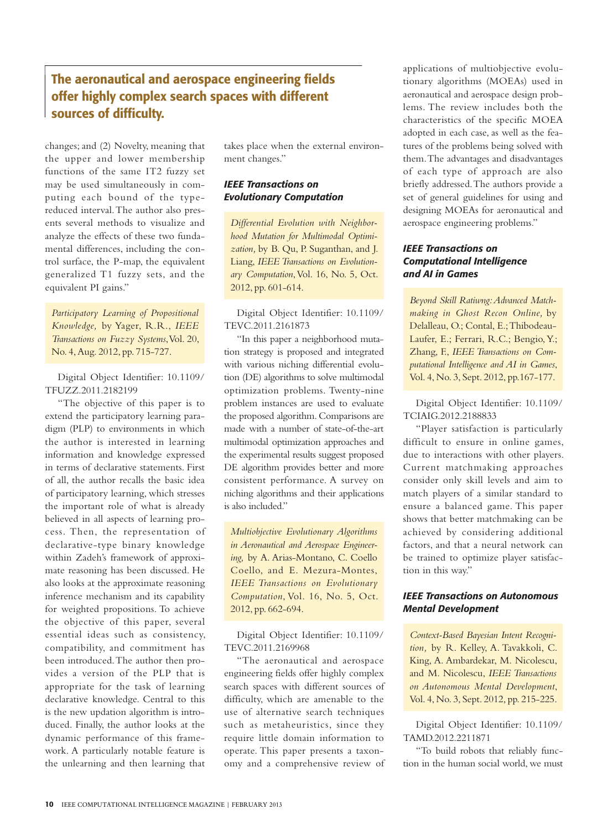## The aeronautical and aerospace engineering fields offer highly complex search spaces with different sources of difficulty.

changes; and (2) Novelty, meaning that the upper and lower membership functions of the same IT2 fuzzy set may be used simultaneously in computing each bound of the typereduced interval. The author also presents several methods to visualize and analyze the effects of these two fundamental differences, including the control surface, the P-map, the equivalent generalized T1 fuzzy sets, and the equivalent PI gains."

*Participatory Learning of Propositional Knowledge,* by Yager, R.R., *IEEE Transactions on Fuzzy Systems*, Vol. 20, No. 4,Aug. 2012, pp. 715-727.

Digital Object Identifier: 10.1109/ TFUZZ.2011.2182199

"The objective of this paper is to extend the participatory learning paradigm (PLP) to environments in which the author is interested in learning information and knowledge expressed in terms of declarative statements. First of all, the author recalls the basic idea of participatory learning, which stresses the important role of what is already believed in all aspects of learning process. Then, the representation of declarative-type binary knowledge within Zadeh's framework of approximate reasoning has been discussed. He also looks at the approximate reasoning inference mechanism and its capability for weighted propositions. To achieve the objective of this paper, several essential ideas such as consistency, compatibility, and commitment has been introduced. The author then provides a version of the PLP that is appropriate for the task of learning declarative knowledge. Central to this is the new updation algorithm is introduced. Finally, the author looks at the dynamic performance of this framework. A particularly notable feature is the unlearning and then learning that takes place when the external environment changes."

### *IEEE Transactions on Evolutionary Computation*

*Differential Evolution with Neighborhood Mutation for Multimodal Optimization,* by B. Qu, P. Suganthan, and J. Liang, *IEEE Transactions on Evolutionary Computation*, Vol. 16, No. 5, Oct. 2012, pp. 601-614.

Digital Object Identifier: 10.1109/ TEVC.2011.2161873

"In this paper a neighborhood mutation strategy is proposed and integrated with various niching differential evolution (DE) algorithms to solve multimodal optimization problems. Twenty-nine problem instances are used to evaluate the proposed algorithm. Comparisons are made with a number of state-of-the-art multimodal optimization approaches and the experimental results suggest proposed DE algorithm provides better and more consistent performance. A survey on niching algorithms and their applications is also included."

*Multiobjective Evolutionary Algorithms in Aeronautical and Aerospace Engineering,* by A. Arias-Montano, C. Coello Coello, and E. Mezura-Montes, *IEEE Transactions on Evolutionary Computation*, Vol. 16, No. 5, Oct. 2012, pp. 662-694.

Digital Object Identifier: 10.1109/ TEVC.2011.2169968

"The aeronautical and aerospace engineering fields offer highly complex search spaces with different sources of difficulty, which are amenable to the use of alternative search techniques such as metaheuristics, since they require little domain information to operate. This paper presents a taxonomy and a comprehensive review of applications of multiobjective evolutionary algorithms (MOEAs) used in aeronautical and aerospace design problems. The review includes both the characteristics of the specific MOEA adopted in each case, as well as the features of the problems being solved with them. The advantages and disadvantages of each type of approach are also briefly addressed. The authors provide a set of general guidelines for using and designing MOEAs for aeronautical and aerospace engineering problems."

## *IEEE Transactions on Computational Intelligence and AI in Games*

*Beyond Skill Ratiwng: Advanced Matchmaking in Ghost Recon Online,* by Delalleau, O.; Contal, E.; Thibodeau-Laufer, E.; Ferrari, R.C.; Bengio, Y.; Zhang, F., *IEEE Transactions on Computational Intelligence and AI in Games*, Vol. 4, No. 3, Sept. 2012, pp.167-177.

Digital Object Identifier: 10.1109/ TCIAIG.2012.2188833

"Player satisfaction is particularly difficult to ensure in online games, due to interactions with other players. Current matchmaking approaches consider only skill levels and aim to match players of a similar standard to ensure a balanced game. This paper shows that better matchmaking can be achieved by considering additional factors, and that a neural network can be trained to optimize player satisfaction in this way."

### *IEEE Transactions on Autonomous Mental Development*

*Context-Based Bayesian Intent Recognition,* by R. Kelley, A. Tavakkoli, C. King, A. Ambardekar, M. Nicolescu, and M. Nicolescu, *IEEE Transactions on Autonomous Mental Development*, Vol. 4, No. 3, Sept. 2012, pp. 215-225.

Digital Object Identifier: 10.1109/ TAMD.2012.2211871

"To build robots that reliably function in the human social world, we must